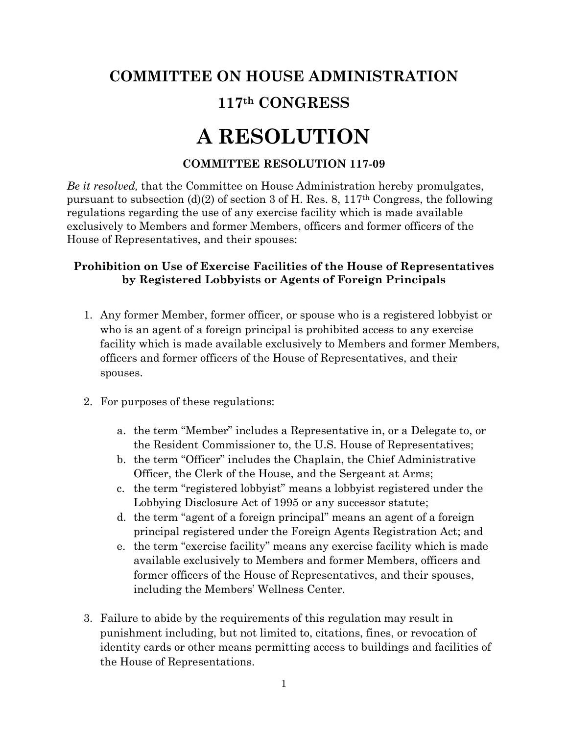## **COMMITTEE ON HOUSE ADMINISTRATION 117th CONGRESS**

# **A RESOLUTION**

### **COMMITTEE RESOLUTION 117-09**

*Be it resolved,* that the Committee on House Administration hereby promulgates, pursuant to subsection (d)(2) of section 3 of H. Res. 8, 117<sup>th</sup> Congress, the following regulations regarding the use of any exercise facility which is made available exclusively to Members and former Members, officers and former officers of the House of Representatives, and their spouses:

#### **Prohibition on Use of Exercise Facilities of the House of Representatives by Registered Lobbyists or Agents of Foreign Principals**

- 1. Any former Member, former officer, or spouse who is a registered lobbyist or who is an agent of a foreign principal is prohibited access to any exercise facility which is made available exclusively to Members and former Members, officers and former officers of the House of Representatives, and their spouses.
- 2. For purposes of these regulations:
	- a. the term "Member" includes a Representative in, or a Delegate to, or the Resident Commissioner to, the U.S. House of Representatives;
	- b. the term "Officer" includes the Chaplain, the Chief Administrative Officer, the Clerk of the House, and the Sergeant at Arms;
	- c. the term "registered lobbyist" means a lobbyist registered under the Lobbying Disclosure Act of 1995 or any successor statute;
	- d. the term "agent of a foreign principal" means an agent of a foreign principal registered under the Foreign Agents Registration Act; and
	- e. the term "exercise facility" means any exercise facility which is made available exclusively to Members and former Members, officers and former officers of the House of Representatives, and their spouses, including the Members' Wellness Center.
- 3. Failure to abide by the requirements of this regulation may result in punishment including, but not limited to, citations, fines, or revocation of identity cards or other means permitting access to buildings and facilities of the House of Representations.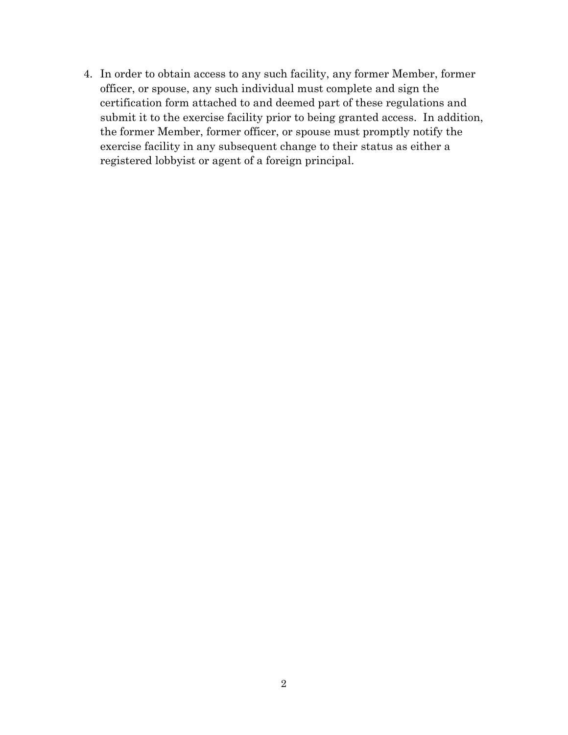4. In order to obtain access to any such facility, any former Member, former officer, or spouse, any such individual must complete and sign the certification form attached to and deemed part of these regulations and submit it to the exercise facility prior to being granted access. In addition, the former Member, former officer, or spouse must promptly notify the exercise facility in any subsequent change to their status as either a registered lobbyist or agent of a foreign principal.